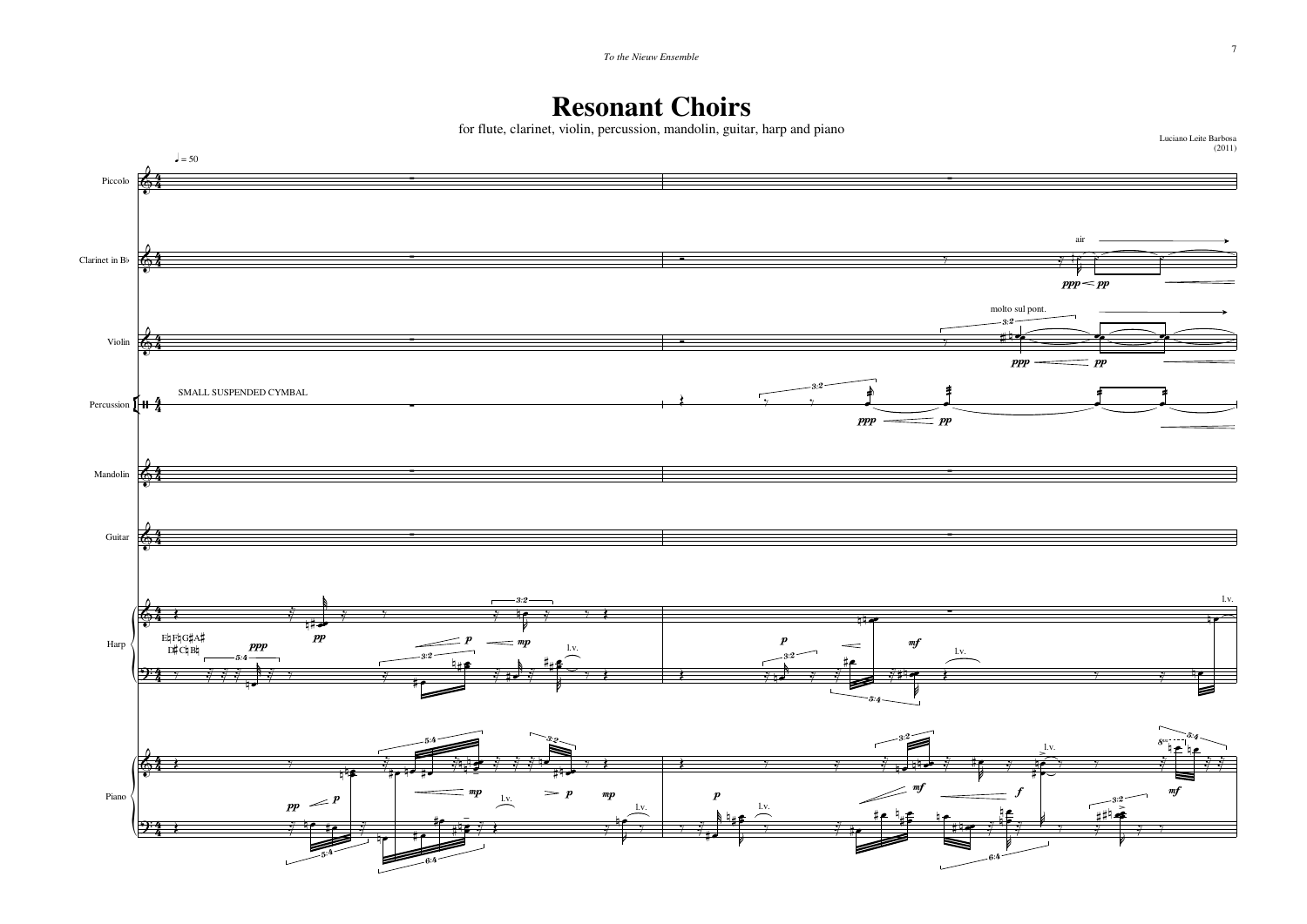## **Resonant Choirs**

for flute, clarinet, violin, percussion, mandolin, guitar, harp and piano